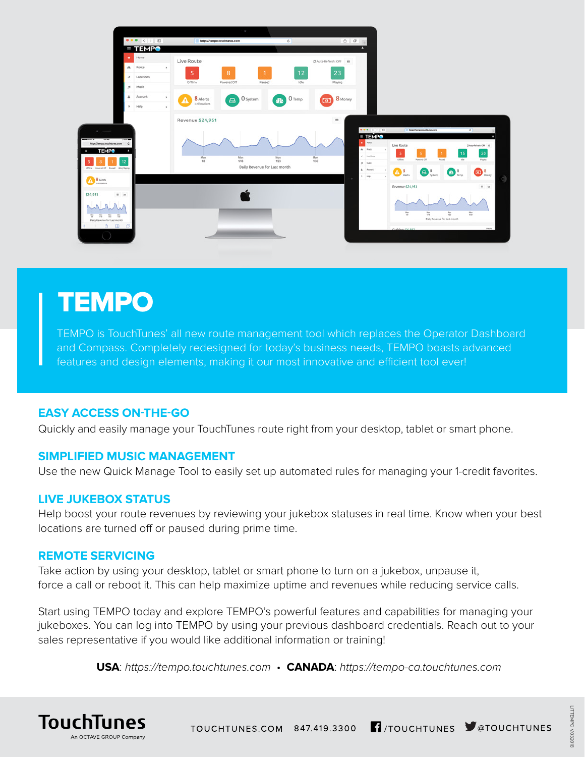

# **TEMPO**

TEMPO is TouchTunes' all new route management tool which replaces the Operator Dashboard and Compass. Completely redesigned for today's business needs, TEMPO boasts advanced features and design elements, making it our most innovative and efficient tool ever!

### **EASY ACCESS ON-THE-GO**

Quickly and easily manage your TouchTunes route right from your desktop, tablet or smart phone.

#### **SIMPLIFIED MUSIC MANAGEMENT**

Use the new Quick Manage Tool to easily set up automated rules for managing your 1-credit favorites.

#### **LIVE JUKEBOX STATUS**

Help boost your route revenues by reviewing your jukebox statuses in real time. Know when your best locations are turned off or paused during prime time.

#### **REMOTE SERVICING**

Take action by using your desktop, tablet or smart phone to turn on a jukebox, unpause it, force a call or reboot it. This can help maximize uptime and revenues while reducing service calls.

Start using TEMPO today and explore TEMPO's powerful features and capabilities for managing your jukeboxes. You can log into TEMPO by using your previous dashboard credentials. Reach out to your sales representative if you would like additional information or training!

**USA**: *https://tempo.touchtunes.com* • **CANADA**: *https://tempo-ca.touchtunes.com*



TOUCHTUNES.COM 847.419.3300 17/TOUCHTUNES V@TOUCHTUNES